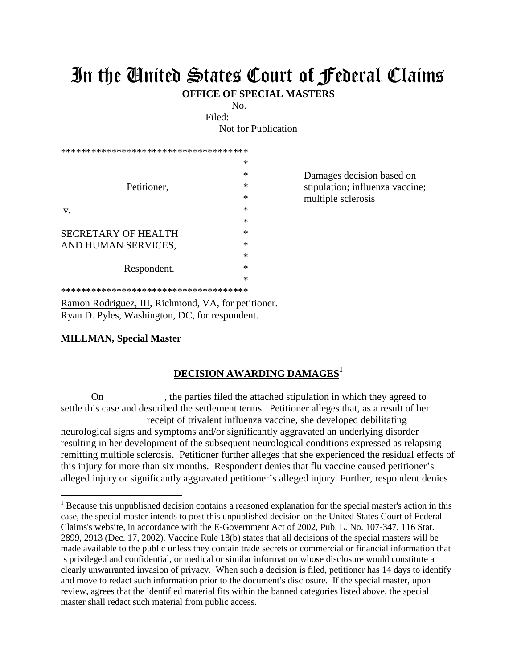## In the United States Court of Federal Claims

**OFFICE OF SPECIAL MASTERS**

No.

Filed:

Not for Publication

| ************************************** |        |                                 |
|----------------------------------------|--------|---------------------------------|
| Petitioner,                            | ∗      |                                 |
|                                        | $\ast$ | Damages decision based on       |
|                                        | ∗      | stipulation; influenza vaccine; |
|                                        | ∗      | multiple sclerosis              |
| V.                                     | ∗      |                                 |
|                                        | $\ast$ |                                 |
| <b>SECRETARY OF HEALTH</b>             | ∗      |                                 |
| AND HUMAN SERVICES,                    | ∗      |                                 |
|                                        | ∗      |                                 |
| Respondent.                            | ∗      |                                 |
|                                        | $\ast$ |                                 |
|                                        |        |                                 |

\*\*\*\*\*\*\*\*\*\*\*\*\*\*\*\*\*\*\*\*\*\*\*\*\*\*\*\*\*\*\*\*\*\*\*\*\*

Ramon Rodriguez, III, Richmond, VA, for petitioner. Ryan D. Pyles, Washington, DC, for respondent.

## **MILLMAN, Special Master**

 $\overline{a}$ 

## **DECISION AWARDING DAMAGES<sup>1</sup>**

On , the parties filed the attached stipulation in which they agreed to settle this case and described the settlement terms. Petitioner alleges that, as a result of her receipt of trivalent influenza vaccine, she developed debilitating neurological signs and symptoms and/or significantly aggravated an underlying disorder resulting in her development of the subsequent neurological conditions expressed as relapsing remitting multiple sclerosis. Petitioner further alleges that she experienced the residual effects of this injury for more than six months. Respondent denies that flu vaccine caused petitioner's alleged injury or significantly aggravated petitioner's alleged injury. Further, respondent denies

<sup>&</sup>lt;sup>1</sup> Because this unpublished decision contains a reasoned explanation for the special master's action in this case, the special master intends to post this unpublished decision on the United States Court of Federal Claims's website, in accordance with the E-Government Act of 2002, Pub. L. No. 107-347, 116 Stat. 2899, 2913 (Dec. 17, 2002). Vaccine Rule 18(b) states that all decisions of the special masters will be made available to the public unless they contain trade secrets or commercial or financial information that is privileged and confidential, or medical or similar information whose disclosure would constitute a clearly unwarranted invasion of privacy. When such a decision is filed, petitioner has 14 days to identify and move to redact such information prior to the document's disclosure. If the special master, upon review, agrees that the identified material fits within the banned categories listed above, the special master shall redact such material from public access.